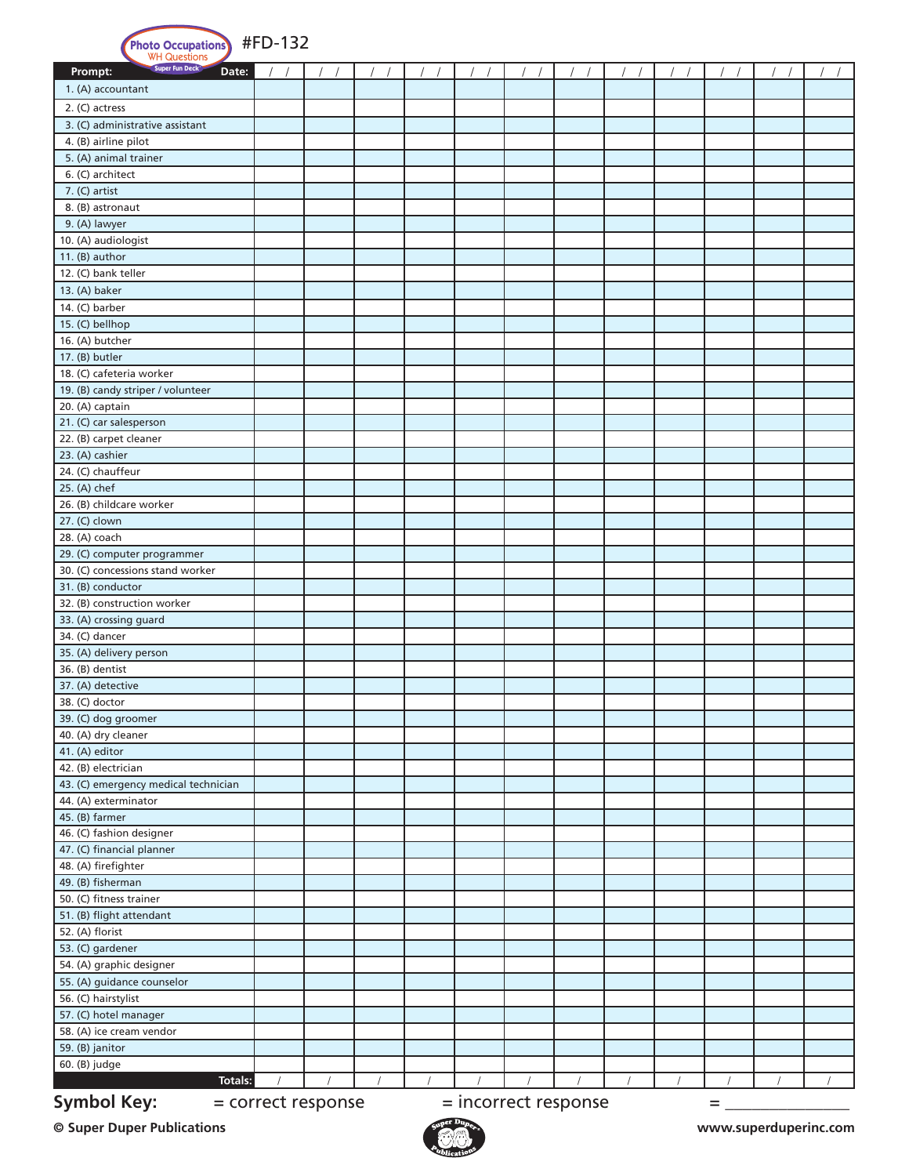| <b>Photo Occupations</b><br>WH Questions<br>Super Fun Deck              | #FD-132 |  |  |            |  |  |  |  |  |  |
|-------------------------------------------------------------------------|---------|--|--|------------|--|--|--|--|--|--|
| Date:<br>Prompt:                                                        |         |  |  |            |  |  |  |  |  |  |
| 1. (A) accountant                                                       |         |  |  |            |  |  |  |  |  |  |
| 2. (C) actress                                                          |         |  |  |            |  |  |  |  |  |  |
| 3. (C) administrative assistant                                         |         |  |  |            |  |  |  |  |  |  |
| 4. (B) airline pilot                                                    |         |  |  |            |  |  |  |  |  |  |
| 5. (A) animal trainer                                                   |         |  |  |            |  |  |  |  |  |  |
| 6. (C) architect                                                        |         |  |  |            |  |  |  |  |  |  |
| 7. (C) artist                                                           |         |  |  |            |  |  |  |  |  |  |
| 8. (B) astronaut                                                        |         |  |  |            |  |  |  |  |  |  |
| 9. (A) lawyer                                                           |         |  |  |            |  |  |  |  |  |  |
| 10. (A) audiologist                                                     |         |  |  |            |  |  |  |  |  |  |
| 11. (B) author                                                          |         |  |  |            |  |  |  |  |  |  |
| 12. (C) bank teller                                                     |         |  |  |            |  |  |  |  |  |  |
| 13. (A) baker                                                           |         |  |  |            |  |  |  |  |  |  |
| 14. (C) barber                                                          |         |  |  |            |  |  |  |  |  |  |
| 15. (C) bellhop                                                         |         |  |  |            |  |  |  |  |  |  |
| 16. (A) butcher                                                         |         |  |  |            |  |  |  |  |  |  |
| 17. (B) butler                                                          |         |  |  |            |  |  |  |  |  |  |
| 18. (C) cafeteria worker                                                |         |  |  |            |  |  |  |  |  |  |
| 19. (B) candy striper / volunteer                                       |         |  |  |            |  |  |  |  |  |  |
| 20. (A) captain                                                         |         |  |  |            |  |  |  |  |  |  |
| 21. (C) car salesperson                                                 |         |  |  |            |  |  |  |  |  |  |
| 22. (B) carpet cleaner                                                  |         |  |  |            |  |  |  |  |  |  |
| 23. (A) cashier                                                         |         |  |  |            |  |  |  |  |  |  |
| 24. (C) chauffeur                                                       |         |  |  |            |  |  |  |  |  |  |
| 25. (A) chef                                                            |         |  |  |            |  |  |  |  |  |  |
| 26. (B) childcare worker<br>27. (C) clown                               |         |  |  |            |  |  |  |  |  |  |
| 28. (A) coach                                                           |         |  |  |            |  |  |  |  |  |  |
| 29. (C) computer programmer                                             |         |  |  |            |  |  |  |  |  |  |
| 30. (C) concessions stand worker                                        |         |  |  |            |  |  |  |  |  |  |
| 31. (B) conductor                                                       |         |  |  |            |  |  |  |  |  |  |
| 32. (B) construction worker                                             |         |  |  |            |  |  |  |  |  |  |
| 33. (A) crossing guard                                                  |         |  |  |            |  |  |  |  |  |  |
| 34. (C) dancer                                                          |         |  |  |            |  |  |  |  |  |  |
| 35. (A) delivery person                                                 |         |  |  |            |  |  |  |  |  |  |
| 36. (B) dentist                                                         |         |  |  |            |  |  |  |  |  |  |
| 37. (A) detective                                                       |         |  |  |            |  |  |  |  |  |  |
| 38. (C) doctor                                                          |         |  |  |            |  |  |  |  |  |  |
| 39. (C) dog groomer                                                     |         |  |  |            |  |  |  |  |  |  |
| 40. (A) dry cleaner                                                     |         |  |  |            |  |  |  |  |  |  |
| 41. (A) editor                                                          |         |  |  |            |  |  |  |  |  |  |
| 42. (B) electrician                                                     |         |  |  |            |  |  |  |  |  |  |
| 43. (C) emergency medical technician                                    |         |  |  |            |  |  |  |  |  |  |
| 44. (A) exterminator                                                    |         |  |  |            |  |  |  |  |  |  |
| 45. (B) farmer                                                          |         |  |  |            |  |  |  |  |  |  |
| 46. (C) fashion designer                                                |         |  |  |            |  |  |  |  |  |  |
| 47. (C) financial planner                                               |         |  |  |            |  |  |  |  |  |  |
| 48. (A) firefighter                                                     |         |  |  |            |  |  |  |  |  |  |
| 49. (B) fisherman                                                       |         |  |  |            |  |  |  |  |  |  |
| 50. (C) fitness trainer                                                 |         |  |  |            |  |  |  |  |  |  |
| 51. (B) flight attendant                                                |         |  |  |            |  |  |  |  |  |  |
| 52. (A) florist                                                         |         |  |  |            |  |  |  |  |  |  |
| 53. (C) gardener                                                        |         |  |  |            |  |  |  |  |  |  |
| 54. (A) graphic designer                                                |         |  |  |            |  |  |  |  |  |  |
| 55. (A) guidance counselor                                              |         |  |  |            |  |  |  |  |  |  |
| 56. (C) hairstylist                                                     |         |  |  |            |  |  |  |  |  |  |
| 57. (C) hotel manager<br>58. (A) ice cream vendor                       |         |  |  |            |  |  |  |  |  |  |
| 59. (B) janitor                                                         |         |  |  |            |  |  |  |  |  |  |
| 60. (B) judge                                                           |         |  |  |            |  |  |  |  |  |  |
| <b>Totals:</b>                                                          |         |  |  | $\sqrt{2}$ |  |  |  |  |  |  |
|                                                                         |         |  |  |            |  |  |  |  |  |  |
| <b>Symbol Key:</b><br>= incorrect response<br>= correct response<br>$=$ |         |  |  |            |  |  |  |  |  |  |

**© Super Duper Publications www.superduperinc.com**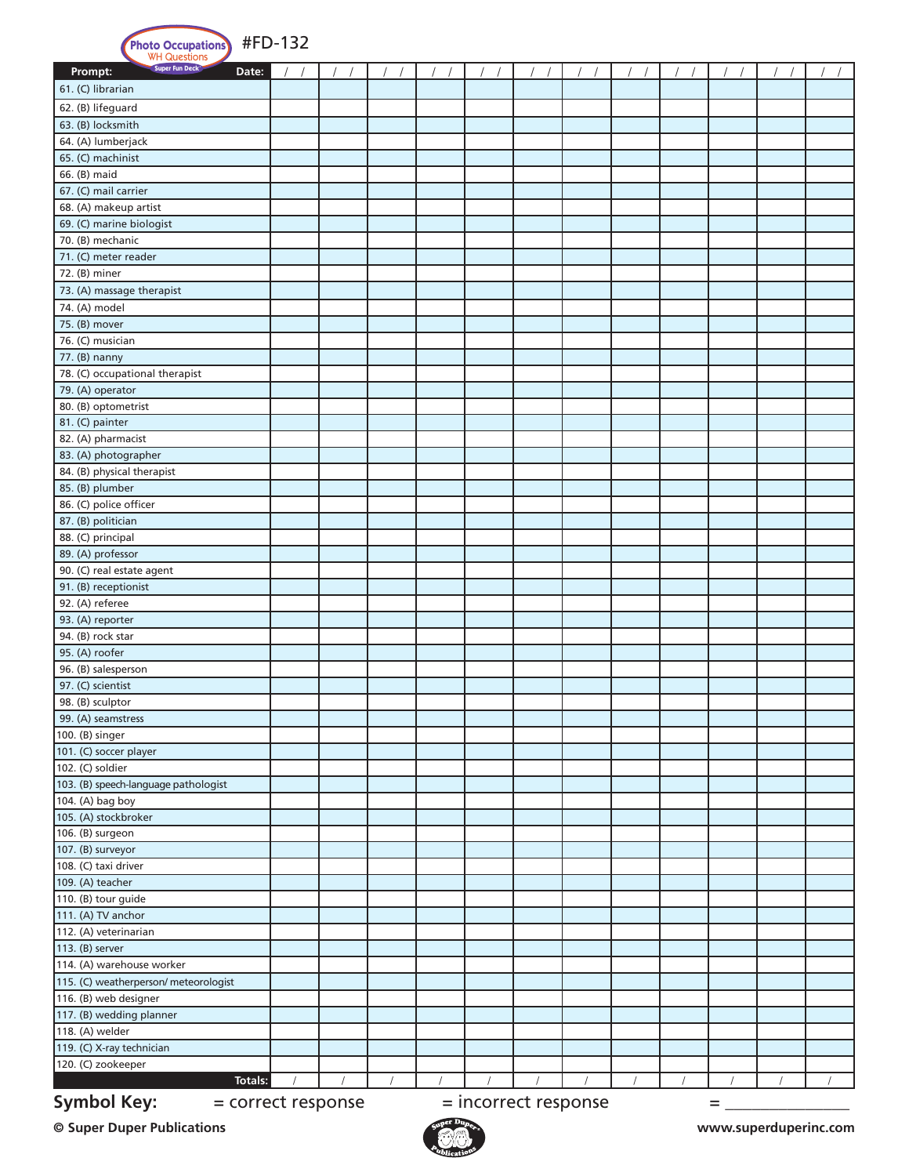| tions <sup>)</sup> | #FD-132 |
|--------------------|---------|
|--------------------|---------|

| <b>Photo Occupations</b>                                              | #FD-132 |  |          |  |  |  |  |          |  |  |  |
|-----------------------------------------------------------------------|---------|--|----------|--|--|--|--|----------|--|--|--|
| Super Fun Deck<br>Prompt:<br>Date:                                    |         |  |          |  |  |  |  |          |  |  |  |
| 61. (C) librarian                                                     |         |  |          |  |  |  |  |          |  |  |  |
| 62. (B) lifeguard                                                     |         |  |          |  |  |  |  |          |  |  |  |
| 63. (B) locksmith                                                     |         |  |          |  |  |  |  |          |  |  |  |
| 64. (A) lumberjack                                                    |         |  |          |  |  |  |  |          |  |  |  |
| 65. (C) machinist                                                     |         |  |          |  |  |  |  |          |  |  |  |
| 66. (B) maid                                                          |         |  |          |  |  |  |  |          |  |  |  |
| 67. (C) mail carrier                                                  |         |  |          |  |  |  |  |          |  |  |  |
| 68. (A) makeup artist                                                 |         |  |          |  |  |  |  |          |  |  |  |
| 69. (C) marine biologist                                              |         |  |          |  |  |  |  |          |  |  |  |
| 70. (B) mechanic                                                      |         |  |          |  |  |  |  |          |  |  |  |
| 71. (C) meter reader                                                  |         |  |          |  |  |  |  |          |  |  |  |
| 72. (B) miner                                                         |         |  |          |  |  |  |  |          |  |  |  |
| 73. (A) massage therapist                                             |         |  |          |  |  |  |  |          |  |  |  |
| 74. (A) model                                                         |         |  |          |  |  |  |  |          |  |  |  |
| 75. (B) mover                                                         |         |  |          |  |  |  |  |          |  |  |  |
| 76. (C) musician                                                      |         |  |          |  |  |  |  |          |  |  |  |
| 77. (B) nanny                                                         |         |  |          |  |  |  |  |          |  |  |  |
| 78. (C) occupational therapist                                        |         |  |          |  |  |  |  |          |  |  |  |
| 79. (A) operator                                                      |         |  |          |  |  |  |  |          |  |  |  |
| 80. (B) optometrist                                                   |         |  |          |  |  |  |  |          |  |  |  |
| 81. (C) painter                                                       |         |  |          |  |  |  |  |          |  |  |  |
| 82. (A) pharmacist                                                    |         |  |          |  |  |  |  |          |  |  |  |
| 83. (A) photographer<br>84. (B) physical therapist                    |         |  |          |  |  |  |  |          |  |  |  |
| 85. (B) plumber                                                       |         |  |          |  |  |  |  |          |  |  |  |
| 86. (C) police officer                                                |         |  |          |  |  |  |  |          |  |  |  |
| 87. (B) politician                                                    |         |  |          |  |  |  |  |          |  |  |  |
| 88. (C) principal                                                     |         |  |          |  |  |  |  |          |  |  |  |
| 89. (A) professor                                                     |         |  |          |  |  |  |  |          |  |  |  |
| 90. (C) real estate agent                                             |         |  |          |  |  |  |  |          |  |  |  |
| 91. (B) receptionist                                                  |         |  |          |  |  |  |  |          |  |  |  |
| 92. (A) referee                                                       |         |  |          |  |  |  |  |          |  |  |  |
| 93. (A) reporter                                                      |         |  |          |  |  |  |  |          |  |  |  |
| 94. (B) rock star                                                     |         |  |          |  |  |  |  |          |  |  |  |
| 95. (A) roofer                                                        |         |  |          |  |  |  |  |          |  |  |  |
| 96. (B) salesperson                                                   |         |  |          |  |  |  |  |          |  |  |  |
| 97. (C) scientist                                                     |         |  |          |  |  |  |  |          |  |  |  |
| 98. (B) sculptor                                                      |         |  |          |  |  |  |  |          |  |  |  |
| 99. (A) seamstress                                                    |         |  |          |  |  |  |  |          |  |  |  |
| 100. (B) singer                                                       |         |  |          |  |  |  |  |          |  |  |  |
| 101. (C) soccer player                                                |         |  |          |  |  |  |  |          |  |  |  |
| 102. (C) soldier                                                      |         |  |          |  |  |  |  |          |  |  |  |
| 103. (B) speech-language pathologist                                  |         |  |          |  |  |  |  |          |  |  |  |
| 104. (A) bag boy                                                      |         |  |          |  |  |  |  |          |  |  |  |
| 105. (A) stockbroker                                                  |         |  |          |  |  |  |  |          |  |  |  |
| 106. (B) surgeon<br>107. (B) surveyor                                 |         |  |          |  |  |  |  |          |  |  |  |
| 108. (C) taxi driver                                                  |         |  |          |  |  |  |  |          |  |  |  |
| 109. (A) teacher                                                      |         |  |          |  |  |  |  |          |  |  |  |
| 110. (B) tour guide                                                   |         |  |          |  |  |  |  |          |  |  |  |
| 111. (A) TV anchor                                                    |         |  |          |  |  |  |  |          |  |  |  |
| 112. (A) veterinarian                                                 |         |  |          |  |  |  |  |          |  |  |  |
| 113. (B) server                                                       |         |  |          |  |  |  |  |          |  |  |  |
| 114. (A) warehouse worker                                             |         |  |          |  |  |  |  |          |  |  |  |
| 115. (C) weatherperson/ meteorologist                                 |         |  |          |  |  |  |  |          |  |  |  |
| 116. (B) web designer                                                 |         |  |          |  |  |  |  |          |  |  |  |
| 117. (B) wedding planner                                              |         |  |          |  |  |  |  |          |  |  |  |
| 118. (A) welder                                                       |         |  |          |  |  |  |  |          |  |  |  |
| 119. (C) X-ray technician                                             |         |  |          |  |  |  |  |          |  |  |  |
| 120. (C) zookeeper                                                    |         |  |          |  |  |  |  |          |  |  |  |
| <b>Totals:</b>                                                        |         |  | $\prime$ |  |  |  |  | $\prime$ |  |  |  |
| <b>Symbol Key:</b><br>= incorrect response<br>= correct response<br>= |         |  |          |  |  |  |  |          |  |  |  |